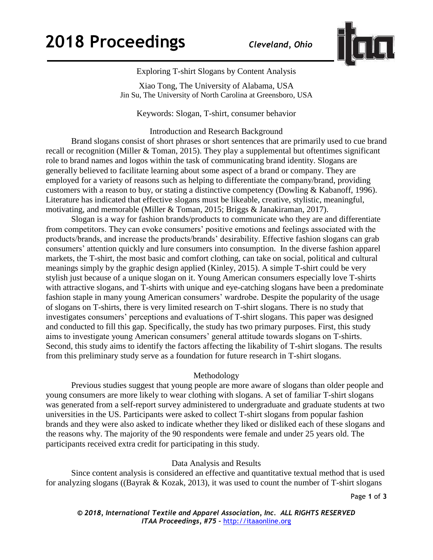

Exploring T-shirt Slogans by Content Analysis

Xiao Tong, The University of Alabama, USA Jin Su, The University of North Carolina at Greensboro, USA

Keywords: Slogan, T-shirt, consumer behavior

Introduction and Research Background

Brand slogans consist of short phrases or short sentences that are primarily used to cue brand recall or recognition (Miller & Toman, 2015). They play a supplemental but oftentimes significant role to brand names and logos within the task of communicating brand identity. Slogans are generally believed to facilitate learning about some aspect of a brand or company. They are employed for a variety of reasons such as helping to differentiate the company/brand, providing customers with a reason to buy, or stating a distinctive competency (Dowling & Kabanoff, 1996). Literature has indicated that effective slogans must be likeable, creative, stylistic, meaningful, motivating, and memorable (Miller & Toman, 2015; Briggs & Janakiraman, 2017).

Slogan is a way for fashion brands/products to communicate who they are and differentiate from competitors. They can evoke consumers' positive emotions and feelings associated with the products/brands, and increase the products/brands' desirability. Effective fashion slogans can grab consumers' attention quickly and lure consumers into consumption. In the diverse fashion apparel markets, the T-shirt, the most basic and comfort clothing, can take on social, political and cultural meanings simply by the graphic design applied (Kinley, 2015). A simple T-shirt could be very stylish just because of a unique slogan on it. Young American consumers especially love T-shirts with attractive slogans, and T-shirts with unique and eye-catching slogans have been a predominate fashion staple in many young American consumers' wardrobe. Despite the popularity of the usage of slogans on T-shirts, there is very limited research on T-shirt slogans. There is no study that investigates consumers' perceptions and evaluations of T-shirt slogans. This paper was designed and conducted to fill this gap. Specifically, the study has two primary purposes. First, this study aims to investigate young American consumers' general attitude towards slogans on T-shirts. Second, this study aims to identify the factors affecting the likability of T-shirt slogans. The results from this preliminary study serve as a foundation for future research in T-shirt slogans.

## Methodology

Previous studies suggest that young people are more aware of slogans than older people and young consumers are more likely to wear clothing with slogans. A set of familiar T-shirt slogans was generated from a self-report survey administered to undergraduate and graduate students at two universities in the US. Participants were asked to collect T-shirt slogans from popular fashion brands and they were also asked to indicate whether they liked or disliked each of these slogans and the reasons why. The majority of the 90 respondents were female and under 25 years old. The participants received extra credit for participating in this study.

## Data Analysis and Results

Since content analysis is considered an effective and quantitative textual method that is used for analyzing slogans ((Bayrak & Kozak, 2013), it was used to count the number of T-shirt slogans

Page **1** of **3**

*© 2018, International Textile and Apparel Association, Inc. ALL RIGHTS RESERVED ITAA Proceedings, #75 –* [http://itaaonline.org](http://itaaonline.org/)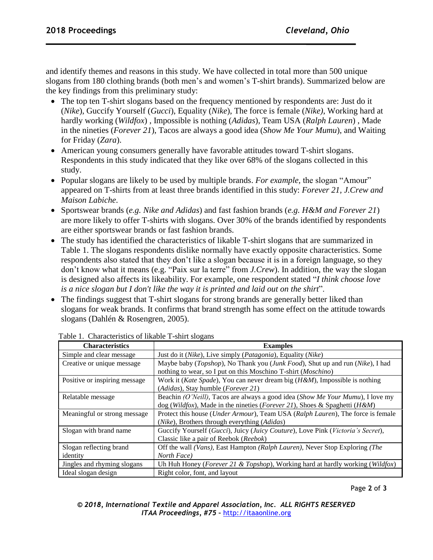and identify themes and reasons in this study. We have collected in total more than 500 unique slogans from 180 clothing brands (both men's and women's T-shirt brands). Summarized below are the key findings from this preliminary study:

- The top ten T-shirt slogans based on the frequency mentioned by respondents are: Just do it (*Nike*), Guccify Yourself (*Gucci*), Equality (*Nike*), The force is female (*Nike)*, Working hard at hardly working (*Wildfox*) , Impossible is nothing (*Adidas*), Team USA (*Ralph Lauren*) , Made in the nineties (*Forever 21*), Tacos are always a good idea (*Show Me Your Mumu*), and Waiting for Friday (*Zara*).
- American young consumers generally have favorable attitudes toward T-shirt slogans. Respondents in this study indicated that they like over 68% of the slogans collected in this study.
- Popular slogans are likely to be used by multiple brands. *For example,* the slogan "Amour" appeared on T-shirts from at least three brands identified in this study: *Forever 21, J.Crew and Maison Labiche*.
- Sportswear brands (*e.g. Nike and Adidas*) and fast fashion brands (*e.g. H&M and Forever 21*) are more likely to offer T-shirts with slogans. Over 30% of the brands identified by respondents are either sportswear brands or fast fashion brands.
- The study has identified the characteristics of likable T-shirt slogans that are summarized in Table 1. The slogans respondents dislike normally have exactly opposite characteristics. Some respondents also stated that they don't like a slogan because it is in a foreign language, so they don't know what it means (e.g. "Paix sur la terre" from *J.Crew*). In addition, the way the slogan is designed also affects its likeability. For example, one respondent stated "*I think choose love is a nice slogan but I don't like the way it is printed and laid out on the shirt*".
- The findings suggest that T-shirt slogans for strong brands are generally better liked than slogans for weak brands. It confirms that brand strength has some effect on the attitude towards slogans (Dahlén & Rosengren, 2005).

| <b>Characteristics</b>        | <b>Examples</b>                                                                                   |  |  |  |  |  |
|-------------------------------|---------------------------------------------------------------------------------------------------|--|--|--|--|--|
| Simple and clear message      | Just do it (Nike), Live simply (Patagonia), Equality (Nike)                                       |  |  |  |  |  |
| Creative or unique message    | Maybe baby (Topshop), No Thank you (Junk Food), Shut up and run (Nike), I had                     |  |  |  |  |  |
|                               | nothing to wear, so I put on this Moschino T-shirt ( <i>Moschino</i> )                            |  |  |  |  |  |
| Positive or inspiring message | Work it ( <i>Kate Spade</i> ), You can never dream big $(H \& M)$ , Impossible is nothing         |  |  |  |  |  |
|                               | (Adidas), Stay humble (Forever 21)                                                                |  |  |  |  |  |
| Relatable message             | Beachin (O'Neill), Tacos are always a good idea (Show Me Your Mumu), I love my                    |  |  |  |  |  |
|                               | dog (Wildfox), Made in the nineties (Forever 21), Shoes & Spaghetti (H&M)                         |  |  |  |  |  |
| Meaningful or strong message  | Protect this house ( <i>Under Armour</i> ), Team USA ( <i>Ralph Lauren</i> ), The force is female |  |  |  |  |  |
|                               | (Nike), Brothers through everything (Adidas)                                                      |  |  |  |  |  |
| Slogan with brand name        | Guccify Yourself (Gucci), Juicy (Juicy Couture), Love Pink (Victoria's Secret),                   |  |  |  |  |  |
|                               | Classic like a pair of Reebok (Reebok)                                                            |  |  |  |  |  |
| Slogan reflecting brand       | Off the wall (Vans), East Hampton (Ralph Lauren), Never Stop Exploring (The                       |  |  |  |  |  |
| identity                      | North Face)                                                                                       |  |  |  |  |  |
| Jingles and rhyming slogans   | Uh Huh Honey (Forever 21 & Topshop), Working hard at hardly working (Wildfox)                     |  |  |  |  |  |
| Ideal slogan design           | Right color, font, and layout                                                                     |  |  |  |  |  |

Table 1. Characteristics of likable T-shirt slogans

Page **2** of **3**

| © 2018, International Textile and Apparel Association, Inc. ALL RIGHTS RESERVED |                                               |  |  |  |
|---------------------------------------------------------------------------------|-----------------------------------------------|--|--|--|
|                                                                                 | ITAA Proceedings, #75 - http://itaaonline.org |  |  |  |